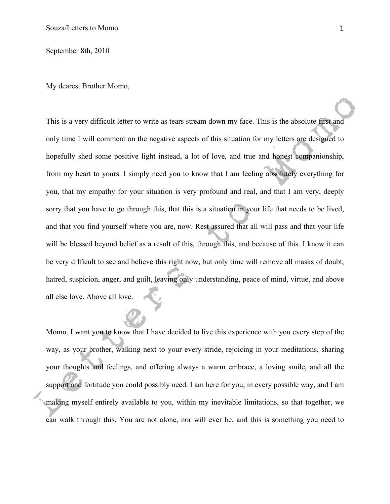September 8th, 2010

My dearest Brother Momo,

This is a very difficult letter to write as tears stream down my face. This is the absolute first and only time I will comment on the negative aspects of this situation for my letters are designed to hopefully shed some positive light instead, a lot of love, and true and honest companionship, from my heart to yours. I simply need you to know that I am feeling absolutely everything for you, that my empathy for your situation is very profound and real, and that I am very, deeply sorry that you have to go through this, that this is a situation in your life that needs to be lived, and that you find yourself where you are, now. Rest assured that all will pass and that your life will be blessed beyond belief as a result of this, through this, and because of this. I know it can be very difficult to see and believe this right now, but only time will remove all masks of doubt, hatred, suspicion, anger, and guilt, leaving only understanding, peace of mind, virtue, and above all else love. Above all love.

Momo, I want you to know that I have decided to live this experience with you every step of the way, as your brother, walking next to your every stride, rejoicing in your meditations, sharing your thoughts and feelings, and offering always a warm embrace, a loving smile, and all the support and fortitude you could possibly need. I am here for you, in every possible way, and I am making myself entirely available to you, within my inevitable limitations, so that together, we can walk through this. You are not alone, nor will ever be, and this is something you need to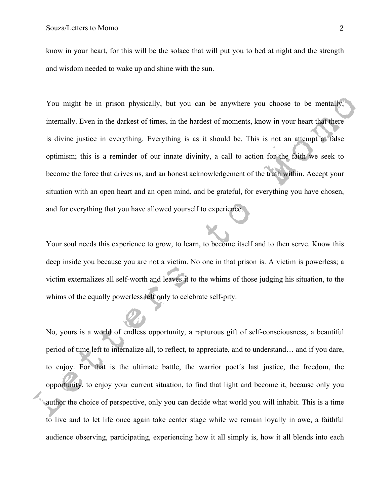know in your heart, for this will be the solace that will put you to bed at night and the strength and wisdom needed to wake up and shine with the sun.

You might be in prison physically, but you can be anywhere you choose to be mentally, internally. Even in the darkest of times, in the hardest of moments, know in your heart that there is divine justice in everything. Everything is as it should be. This is not an attempt at false optimism; this is a reminder of our innate divinity, a call to action for the faith we seek to become the force that drives us, and an honest acknowledgement of the truth within. Accept your situation with an open heart and an open mind, and be grateful, for everything you have chosen, and for everything that you have allowed yourself to experience.

Your soul needs this experience to grow, to learn, to become itself and to then serve. Know this deep inside you because you are not a victim. No one in that prison is. A victim is powerless; a victim externalizes all self-worth and leaves it to the whims of those judging his situation, to the whims of the equally powerless left only to celebrate self-pity.

No, yours is a world of endless opportunity, a rapturous gift of self-consciousness, a beautiful period of time left to internalize all, to reflect, to appreciate, and to understand… and if you dare, to enjoy. For that is the ultimate battle, the warrior poet´s last justice, the freedom, the opportunity, to enjoy your current situation, to find that light and become it, because only you author the choice of perspective, only you can decide what world you will inhabit. This is a time to live and to let life once again take center stage while we remain loyally in awe, a faithful audience observing, participating, experiencing how it all simply is, how it all blends into each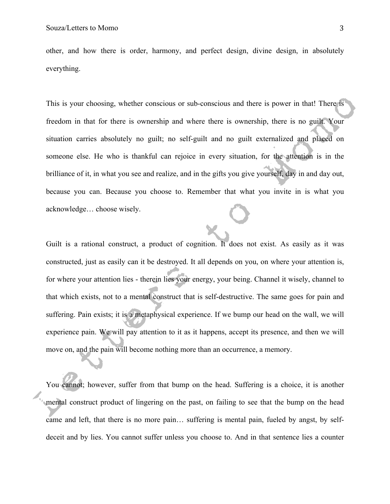other, and how there is order, harmony, and perfect design, divine design, in absolutely everything.

This is your choosing, whether conscious or sub-conscious and there is power in that! There is freedom in that for there is ownership and where there is ownership, there is no guilt. Your situation carries absolutely no guilt; no self-guilt and no guilt externalized and placed on someone else. He who is thankful can rejoice in every situation, for the attention is in the brilliance of it, in what you see and realize, and in the gifts you give yourself, day in and day out, because you can. Because you choose to. Remember that what you invite in is what you acknowledge… choose wisely.

Guilt is a rational construct, a product of cognition. It does not exist. As easily as it was constructed, just as easily can it be destroyed. It all depends on you, on where your attention is, for where your attention lies - therein lies your energy, your being. Channel it wisely, channel to that which exists, not to a mental construct that is self-destructive. The same goes for pain and suffering. Pain exists; it is a metaphysical experience. If we bump our head on the wall, we will experience pain. We will pay attention to it as it happens, accept its presence, and then we will move on, and the pain will become nothing more than an occurrence, a memory.

You cannot; however, suffer from that bump on the head. Suffering is a choice, it is another mental construct product of lingering on the past, on failing to see that the bump on the head came and left, that there is no more pain… suffering is mental pain, fueled by angst, by selfdeceit and by lies. You cannot suffer unless you choose to. And in that sentence lies a counter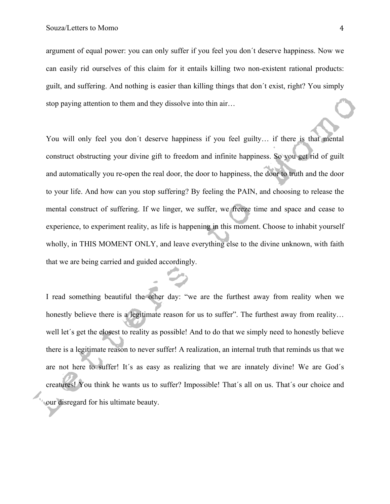argument of equal power: you can only suffer if you feel you don´t deserve happiness. Now we can easily rid ourselves of this claim for it entails killing two non-existent rational products: guilt, and suffering. And nothing is easier than killing things that don´t exist, right? You simply stop paying attention to them and they dissolve into thin air…

You will only feel you don´t deserve happiness if you feel guilty… if there is that mental construct obstructing your divine gift to freedom and infinite happiness. So you get rid of guilt and automatically you re-open the real door, the door to happiness, the door to truth and the door to your life. And how can you stop suffering? By feeling the PAIN, and choosing to release the mental construct of suffering. If we linger, we suffer, we freeze time and space and cease to experience, to experiment reality, as life is happening in this moment. Choose to inhabit yourself wholly, in THIS MOMENT ONLY, and leave everything else to the divine unknown, with faith that we are being carried and guided accordingly.

I read something beautiful the other day: "we are the furthest away from reality when we honestly believe there is a legitimate reason for us to suffer". The furthest away from reality... well let´s get the closest to reality as possible! And to do that we simply need to honestly believe there is a legitimate reason to never suffer! A realization, an internal truth that reminds us that we are not here to suffer! It´s as easy as realizing that we are innately divine! We are God´s creatures! You think he wants us to suffer? Impossible! That´s all on us. That´s our choice and our disregard for his ultimate beauty.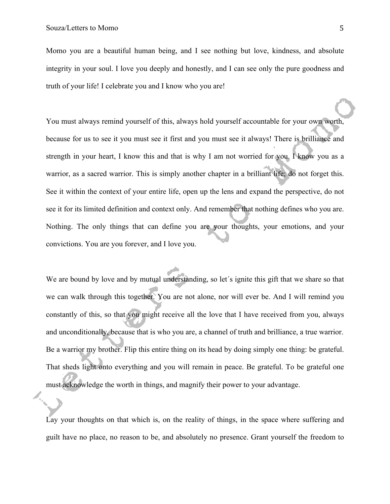Momo you are a beautiful human being, and I see nothing but love, kindness, and absolute integrity in your soul. I love you deeply and honestly, and I can see only the pure goodness and truth of your life! I celebrate you and I know who you are!

You must always remind yourself of this, always hold yourself accountable for your own worth, because for us to see it you must see it first and you must see it always! There is brilliance and strength in your heart, I know this and that is why I am not worried for you. I know you as a warrior, as a sacred warrior. This is simply another chapter in a brilliant life; do not forget this. See it within the context of your entire life, open up the lens and expand the perspective, do not see it for its limited definition and context only. And remember that nothing defines who you are. Nothing. The only things that can define you are your thoughts, your emotions, and your convictions. You are you forever, and I love you.

We are bound by love and by mutual understanding, so let's ignite this gift that we share so that we can walk through this together. You are not alone, nor will ever be. And I will remind you constantly of this, so that you might receive all the love that I have received from you, always and unconditionally, because that is who you are, a channel of truth and brilliance, a true warrior. Be a warrior my brother. Flip this entire thing on its head by doing simply one thing: be grateful. That sheds light onto everything and you will remain in peace. Be grateful. To be grateful one must acknowledge the worth in things, and magnify their power to your advantage.

Lay your thoughts on that which is, on the reality of things, in the space where suffering and guilt have no place, no reason to be, and absolutely no presence. Grant yourself the freedom to